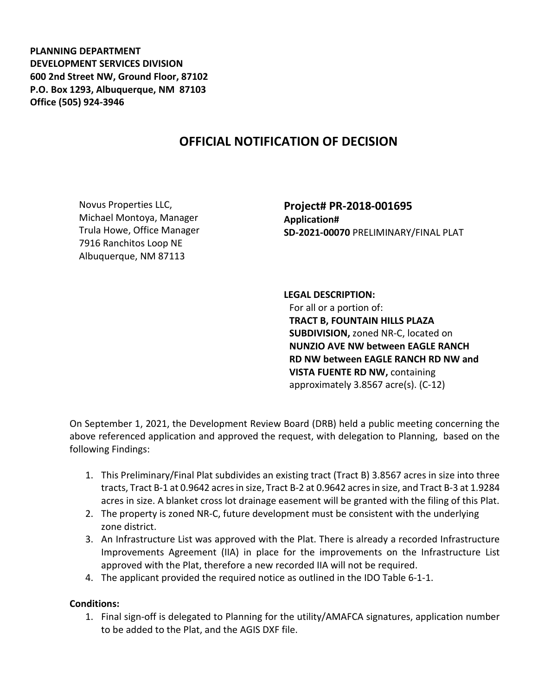**PLANNING DEPARTMENT DEVELOPMENT SERVICES DIVISION 600 2nd Street NW, Ground Floor, 87102 P.O. Box 1293, Albuquerque, NM 87103 Office (505) 924-3946** 

## **OFFICIAL NOTIFICATION OF DECISION**

Novus Properties LLC, Michael Montoya, Manager Trula Howe, Office Manager 7916 Ranchitos Loop NE Albuquerque, NM 87113

**Project# PR-2018-001695 Application# SD-2021-00070** PRELIMINARY/FINAL PLAT

**LEGAL DESCRIPTION:** For all or a portion of: **TRACT B, FOUNTAIN HILLS PLAZA SUBDIVISION,** zoned NR-C, located on **NUNZIO AVE NW between EAGLE RANCH RD NW between EAGLE RANCH RD NW and VISTA FUENTE RD NW,** containing approximately 3.8567 acre(s). (C-12)

On September 1, 2021, the Development Review Board (DRB) held a public meeting concerning the above referenced application and approved the request, with delegation to Planning, based on the following Findings:

- 1. This Preliminary/Final Plat subdivides an existing tract (Tract B) 3.8567 acres in size into three tracts, Tract B-1 at 0.9642 acres in size, Tract B-2 at 0.9642 acres in size, and Tract B-3 at 1.9284 acres in size. A blanket cross lot drainage easement will be granted with the filing of this Plat.
- 2. The property is zoned NR-C, future development must be consistent with the underlying zone district.
- 3. An Infrastructure List was approved with the Plat. There is already a recorded Infrastructure Improvements Agreement (IIA) in place for the improvements on the Infrastructure List approved with the Plat, therefore a new recorded IIA will not be required.
- 4. The applicant provided the required notice as outlined in the IDO Table 6-1-1.

## **Conditions:**

1. Final sign-off is delegated to Planning for the utility/AMAFCA signatures, application number to be added to the Plat, and the AGIS DXF file.